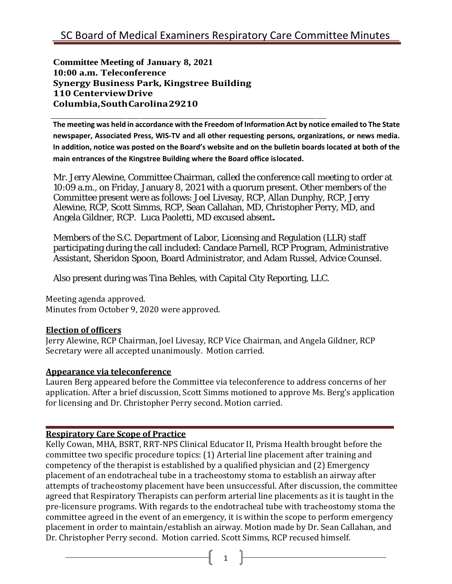**Committee Meeting of January 8, 2021 10:00 a.m. Teleconference Synergy Business Park, Kingstree Building 110 CenterviewDrive Columbia,SouthCarolina29210**

**The meeting was held in accordance with the Freedom of Information Act by notice emailed to The State newspaper, Associated Press, WIS-TV and all other requesting persons, organizations, or news media. In addition, notice was posted on the Board's website and on the bulletin boards located at both of the main entrances of the Kingstree Building where the Board office islocated.**

Mr. Jerry Alewine, Committee Chairman, called the conference call meeting to order at 10:09 a.m., on Friday, January 8, 2021 with a quorum present. Other members of the Committee present were as follows: Joel Livesay, RCP, Allan Dunphy, RCP, Jerry Alewine, RCP, Scott Simms, RCP, Sean Callahan, MD, Christopher Perry, MD, and Angela Gildner, RCP. Luca Paoletti, MD excused absent**.**

Members of the S.C. Department of Labor, Licensing and Regulation (LLR) staff participating during the call included: Candace Parnell, RCP Program, Administrative Assistant, Sheridon Spoon, Board Administrator, and Adam Russel, Advice Counsel.

Also present during was Tina Behles, with Capital City Reporting, LLC.

Meeting agenda approved. Minutes from October 9, 2020 were approved.

## **Election of officers**

Jerry Alewine, RCP Chairman, Joel Livesay, RCP Vice Chairman, and Angela Gildner, RCP Secretary were all accepted unanimously. Motion carried.

## **Appearance via teleconference**

Lauren Berg appeared before the Committee via teleconference to address concerns of her application. After a brief discussion, Scott Simms motioned to approve Ms. Berg's application for licensing and Dr. Christopher Perry second. Motion carried.

## **Respiratory Care Scope of Practice**

Kelly Cowan, MHA, BSRT, RRT-NPS Clinical Educator II, Prisma Health brought before the committee two specific procedure topics: (1) Arterial line placement after training and competency of the therapist is established by a qualified physician and (2) Emergency placement of an endotracheal tube in a tracheostomy stoma to establish an airway after attempts of tracheostomy placement have been unsuccessful. After discussion, the committee agreed that Respiratory Therapists can perform arterial line placements as it is taught in the pre-licensure programs. With regards to the endotracheal tube with tracheostomy stoma the committee agreed in the event of an emergency, it is within the scope to perform emergency placement in order to maintain/establish an airway. Motion made by Dr. Sean Callahan, and Dr. Christopher Perry second. Motion carried. Scott Simms, RCP recused himself.